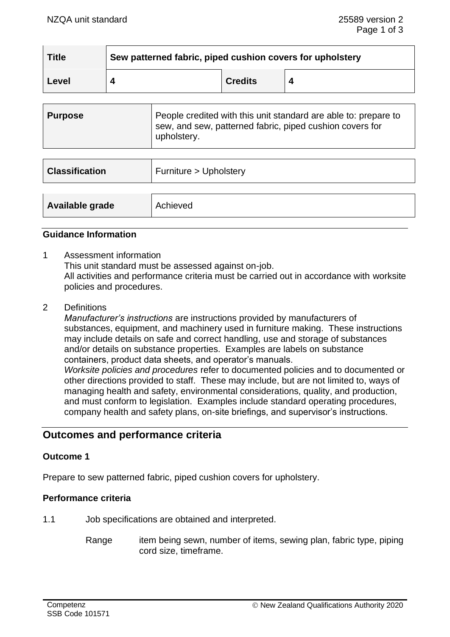| <b>Title</b> | Sew patterned fabric, piped cushion covers for upholstery |                |  |
|--------------|-----------------------------------------------------------|----------------|--|
| Level        |                                                           | <b>Credits</b> |  |

| Purpose | People credited with this unit standard are able to: prepare to<br>sew, and sew, patterned fabric, piped cushion covers for |
|---------|-----------------------------------------------------------------------------------------------------------------------------|
|         | upholstery.                                                                                                                 |

| <b>Classification</b> | Furniture > Upholstery |
|-----------------------|------------------------|
| Available grade       | Achieved               |

### **Guidance Information**

- 1 Assessment information This unit standard must be assessed against on-job. All activities and performance criteria must be carried out in accordance with worksite policies and procedures.
- 2 Definitions

*Manufacturer's instructions* are instructions provided by manufacturers of substances, equipment, and machinery used in furniture making. These instructions may include details on safe and correct handling, use and storage of substances and/or details on substance properties. Examples are labels on substance containers, product data sheets, and operator's manuals. *Worksite policies and procedures* refer to documented policies and to documented or other directions provided to staff. These may include, but are not limited to, ways of managing health and safety, environmental considerations, quality, and production, and must conform to legislation. Examples include standard operating procedures, company health and safety plans, on-site briefings, and supervisor's instructions.

# **Outcomes and performance criteria**

## **Outcome 1**

Prepare to sew patterned fabric, piped cushion covers for upholstery.

#### **Performance criteria**

- 1.1 Job specifications are obtained and interpreted.
	- Range item being sewn, number of items, sewing plan, fabric type, piping cord size, timeframe.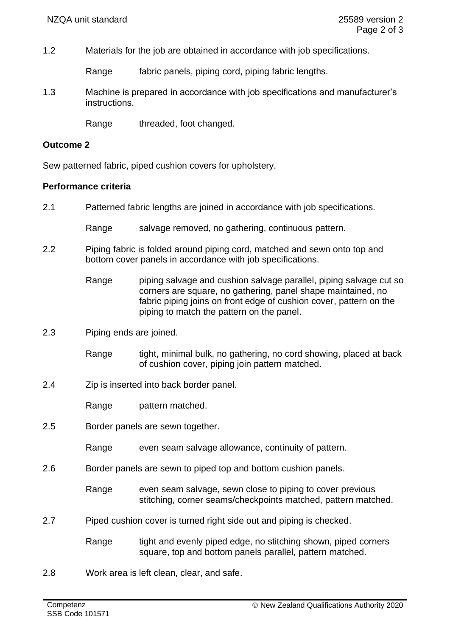1.2 Materials for the job are obtained in accordance with job specifications.

Range fabric panels, piping cord, piping fabric lengths.

1.3 Machine is prepared in accordance with job specifications and manufacturer's instructions.

Range threaded, foot changed.

# **Outcome 2**

Sew patterned fabric, piped cushion covers for upholstery.

# **Performance criteria**

2.1 Patterned fabric lengths are joined in accordance with job specifications.

Range salvage removed, no gathering, continuous pattern.

- 2.2 Piping fabric is folded around piping cord, matched and sewn onto top and bottom cover panels in accordance with job specifications.
	- Range piping salvage and cushion salvage parallel, piping salvage cut so corners are square, no gathering, panel shape maintained, no fabric piping joins on front edge of cushion cover, pattern on the piping to match the pattern on the panel.
- 2.3 Piping ends are joined.
	- Range tight, minimal bulk, no gathering, no cord showing, placed at back of cushion cover, piping join pattern matched.
- 2.4 Zip is inserted into back border panel.

Range pattern matched.

- 2.5 Border panels are sewn together.
	- Range even seam salvage allowance, continuity of pattern.
- 2.6 Border panels are sewn to piped top and bottom cushion panels.
	- Range even seam salvage, sewn close to piping to cover previous stitching, corner seams/checkpoints matched, pattern matched.
- 2.7 Piped cushion cover is turned right side out and piping is checked.
	- Range tight and evenly piped edge, no stitching shown, piped corners square, top and bottom panels parallel, pattern matched.
- 2.8 Work area is left clean, clear, and safe.